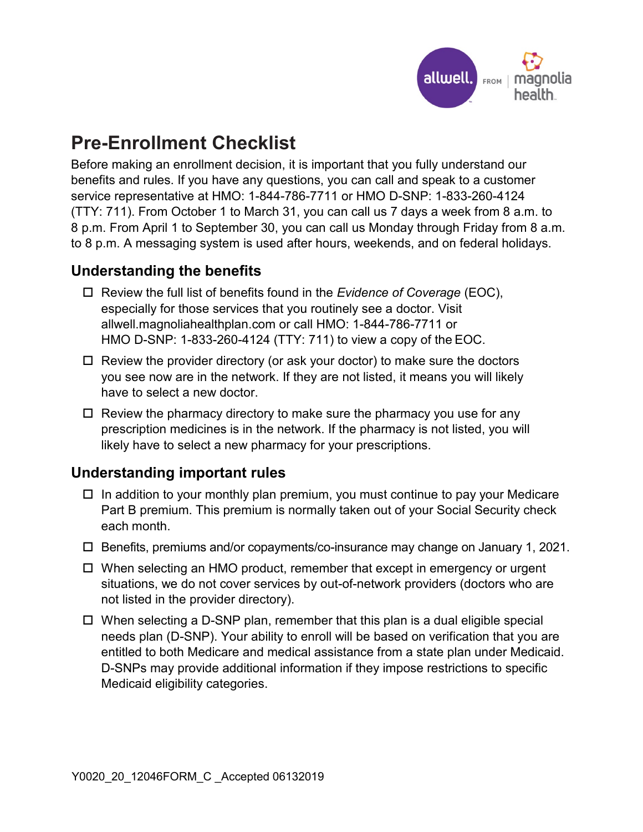

## **Pre-Enrollment Checklist**

 (TTY: 711). From October 1 to March 31, you can call us 7 days a week from 8 a.m. to Before making an enrollment decision, it is important that you fully understand our benefits and rules. If you have any questions, you can call and speak to a customer service representative at HMO: 1-844-786-7711 or HMO D-SNP: 1-833-260-4124 8 p.m. From April 1 to September 30, you can call us Monday through Friday from 8 a.m. to 8 p.m. A messaging system is used after hours, weekends, and on federal holidays.

## **Understanding the benefits**

- Review the full list of benefits found in the *Evidence of Coverage* (EOC), especially for those services that you routinely see a doctor. Visit allwell.magnoliahealthplan.com or call HMO: 1-844-786-7711 or HMO D-SNP: 1-833-260-4124 (TTY: 711) to view a copy of the EOC.
- □ Review the provider directory (or ask your doctor) to make sure the doctors you see now are in the network. If they are not listed, it means you will likely have to select a new doctor.
- Review the pharmacy directory to make sure the pharmacy you use for any prescription medicines is in the network. If the pharmacy is not listed, you will likely have to select a new pharmacy for your prescriptions.

## **Understanding important rules**

- $\Box$  In addition to your monthly plan premium, you must continue to pay your Medicare Part B premium. This premium is normally taken out of your Social Security check each month.
- Benefits, premiums and/or copayments/co-insurance may change on January 1, 2021.
- When selecting an HMO product, remember that except in emergency or urgent situations, we do not cover services by out-of-network providers (doctors who are not listed in the provider directory).
- When selecting a D-SNP plan, remember that this plan is a dual eligible special needs plan (D-SNP). Your ability to enroll will be based on verification that you are entitled to both Medicare and medical assistance from a state plan under Medicaid. D-SNPs may provide additional information if they impose restrictions to specific Medicaid eligibility categories.